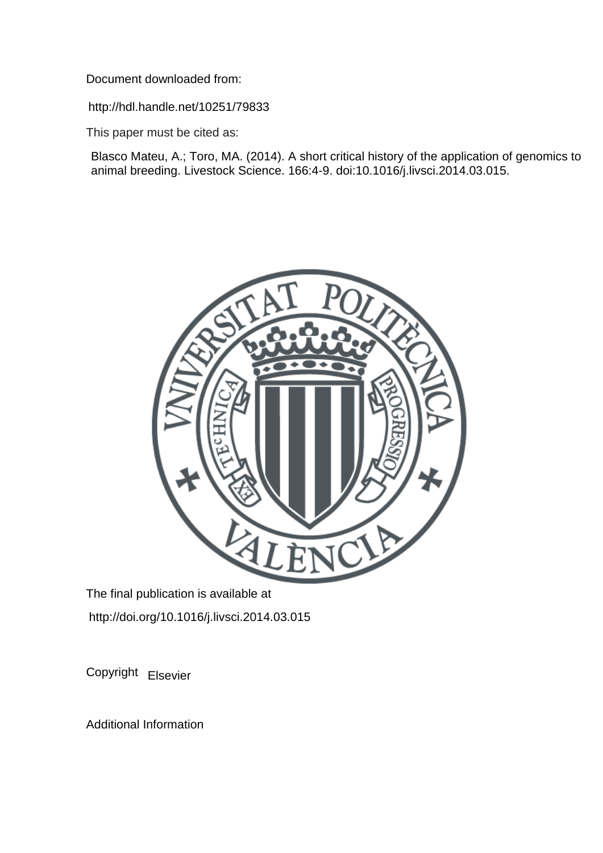Document downloaded from:

http://hdl.handle.net/10251/79833

This paper must be cited as:

Blasco Mateu, A.; Toro, MA. (2014). A short critical history of the application of genomics to animal breeding. Livestock Science. 166:4-9. doi:10.1016/j.livsci.2014.03.015.



The final publication is available at http://doi.org/10.1016/j.livsci.2014.03.015

Copyright Elsevier

Additional Information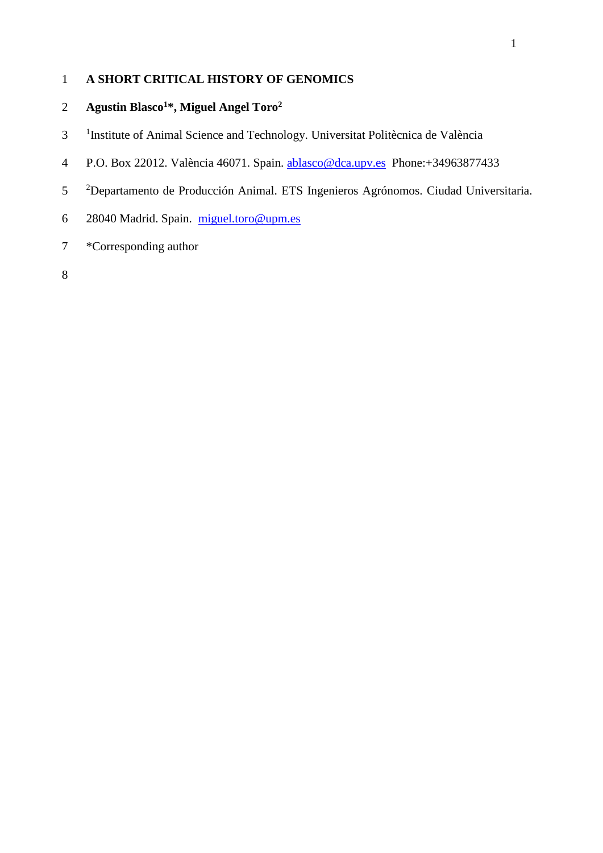# **A SHORT CRITICAL HISTORY OF GENOMICS**

# **Agustin Blasco<sup>1</sup>\*, Miguel Angel Toro<sup>2</sup>**

- <sup>1</sup>Institute of Animal Science and Technology. Universitat Politècnica de València
- P.O. Box 22012. València 46071. Spain. [ablasco@dca.upv.es](mailto:ablasco@dca.upv.es) Phone:+34963877433
- <sup>2</sup> Departamento de Producción Animal. ETS Ingenieros Agrónomos. Ciudad Universitaria.
- 28040 Madrid. Spain. [miguel.toro@upm.es](mailto:miguel.toro@upm.es)
- \*Corresponding author
-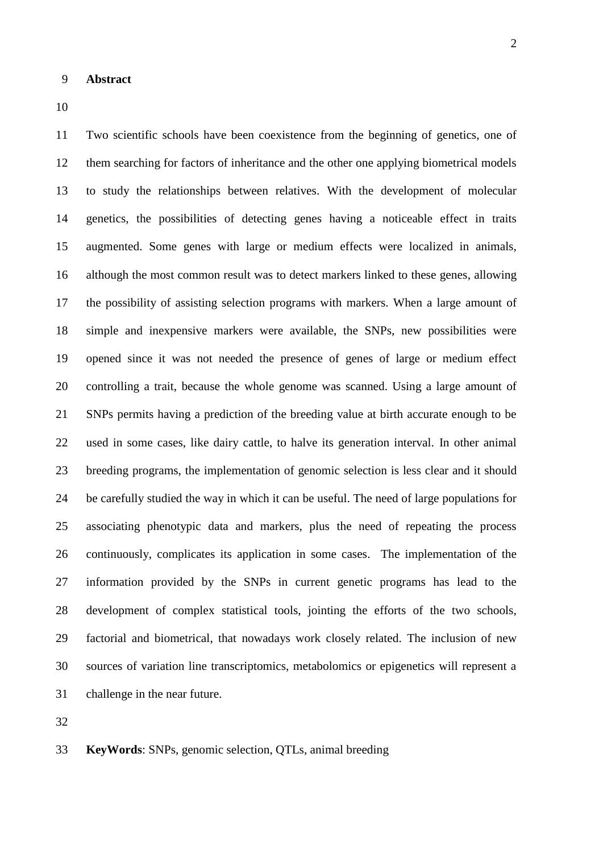Two scientific schools have been coexistence from the beginning of genetics, one of them searching for factors of inheritance and the other one applying biometrical models to study the relationships between relatives. With the development of molecular genetics, the possibilities of detecting genes having a noticeable effect in traits augmented. Some genes with large or medium effects were localized in animals, although the most common result was to detect markers linked to these genes, allowing the possibility of assisting selection programs with markers. When a large amount of simple and inexpensive markers were available, the SNPs, new possibilities were opened since it was not needed the presence of genes of large or medium effect controlling a trait, because the whole genome was scanned. Using a large amount of SNPs permits having a prediction of the breeding value at birth accurate enough to be used in some cases, like dairy cattle, to halve its generation interval. In other animal breeding programs, the implementation of genomic selection is less clear and it should be carefully studied the way in which it can be useful. The need of large populations for associating phenotypic data and markers, plus the need of repeating the process continuously, complicates its application in some cases. The implementation of the information provided by the SNPs in current genetic programs has lead to the development of complex statistical tools, jointing the efforts of the two schools, factorial and biometrical, that nowadays work closely related. The inclusion of new sources of variation line transcriptomics, metabolomics or epigenetics will represent a challenge in the near future.

**KeyWords**: SNPs, genomic selection, QTLs, animal breeding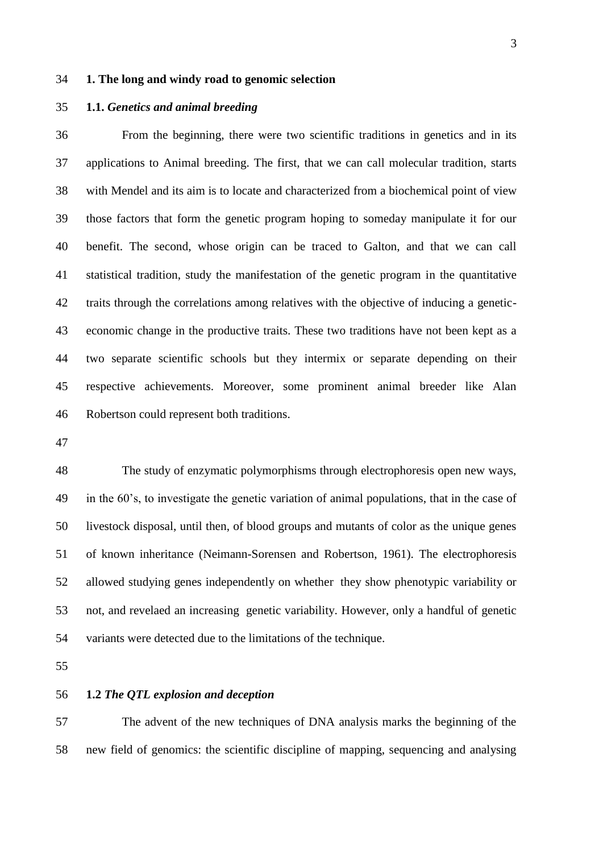### **1. The long and windy road to genomic selection**

### **1.1.** *Genetics and animal breeding*

 From the beginning, there were two scientific traditions in genetics and in its applications to Animal breeding. The first, that we can call molecular tradition, starts with Mendel and its aim is to locate and characterized from a biochemical point of view those factors that form the genetic program hoping to someday manipulate it for our benefit. The second, whose origin can be traced to Galton, and that we can call statistical tradition, study the manifestation of the genetic program in the quantitative traits through the correlations among relatives with the objective of inducing a genetic- economic change in the productive traits. These two traditions have not been kept as a two separate scientific schools but they intermix or separate depending on their respective achievements. Moreover, some prominent animal breeder like Alan Robertson could represent both traditions.

 The study of enzymatic polymorphisms through electrophoresis open new ways, in the 60's, to investigate the genetic variation of animal populations, that in the case of livestock disposal, until then, of blood groups and mutants of color as the unique genes of known inheritance (Neimann-Sorensen and Robertson, 1961). The electrophoresis allowed studying genes independently on whether they show phenotypic variability or not, and revelaed an increasing genetic variability. However, only a handful of genetic variants were detected due to the limitations of the technique.

### **1.2** *The QTL explosion and deception*

 The advent of the new techniques of DNA analysis marks the beginning of the new field of genomics: the scientific discipline of mapping, sequencing and analysing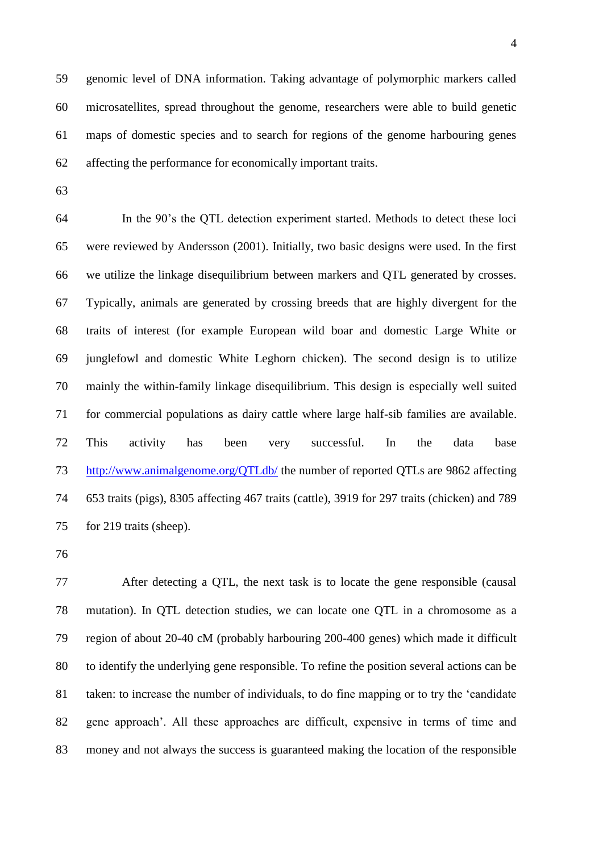genomic level of DNA information. Taking advantage of polymorphic markers called microsatellites, spread throughout the genome, researchers were able to build genetic maps of domestic species and to search for regions of the genome harbouring genes affecting the performance for economically important traits.

 In the 90's the QTL detection experiment started. Methods to detect these loci were reviewed by Andersson (2001). Initially, two basic designs were used. In the first we utilize the linkage disequilibrium between markers and QTL generated by crosses. Typically, animals are generated by crossing breeds that are highly divergent for the traits of interest (for example European wild boar and domestic Large White or junglefowl and domestic White Leghorn chicken). The second design is to utilize mainly the within-family linkage disequilibrium. This design is especially well suited for commercial populations as dairy cattle where large half-sib families are available. This activity has been very successful. In the data base <http://www.animalgenome.org/QTLdb/> the number of reported QTLs are 9862 affecting 653 traits (pigs), 8305 affecting 467 traits (cattle), 3919 for 297 traits (chicken) and 789 for 219 traits (sheep).

 After detecting a QTL, the next task is to locate the gene responsible (causal mutation). In QTL detection studies, we can locate one QTL in a chromosome as a region of about 20-40 cM (probably harbouring 200-400 genes) which made it difficult to identify the underlying gene responsible. To refine the position several actions can be taken: to increase the number of individuals, to do fine mapping or to try the 'candidate gene approach'. All these approaches are difficult, expensive in terms of time and money and not always the success is guaranteed making the location of the responsible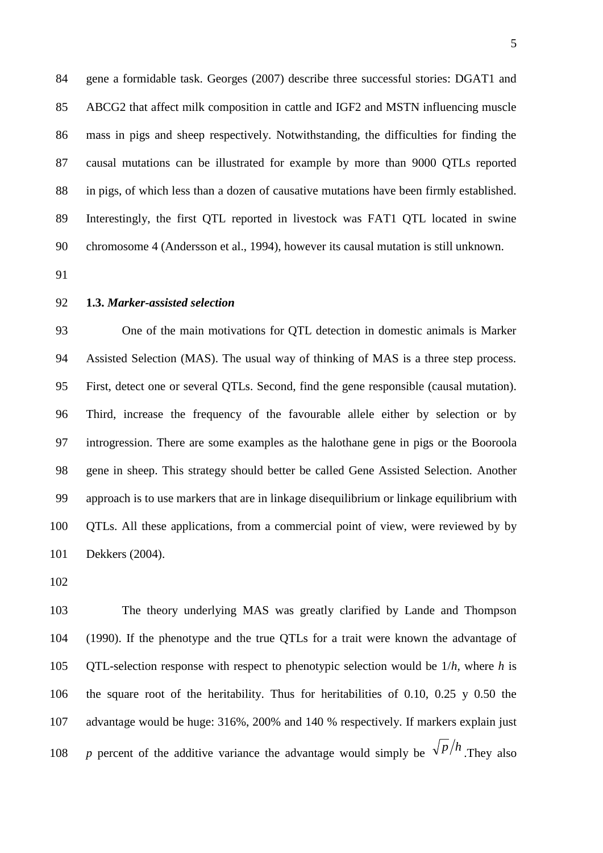gene a formidable task. Georges (2007) describe three successful stories: DGAT1 and ABCG2 that affect milk composition in cattle and IGF2 and MSTN influencing muscle mass in pigs and sheep respectively. Notwithstanding, the difficulties for finding the causal mutations can be illustrated for example by more than 9000 QTLs reported in pigs, of which less than a dozen of causative mutations have been firmly established. Interestingly, the first QTL reported in livestock was FAT1 QTL located in swine chromosome 4 (Andersson et al., 1994), however its causal mutation is still unknown.

#### **1.3.** *Marker-assisted selection*

 One of the main motivations for QTL detection in domestic animals is Marker Assisted Selection (MAS). The usual way of thinking of MAS is a three step process. First, detect one or several QTLs. Second, find the gene responsible (causal mutation). Third, increase the frequency of the favourable allele either by selection or by introgression. There are some examples as the halothane gene in pigs or the Booroola gene in sheep. This strategy should better be called Gene Assisted Selection. Another approach is to use markers that are in linkage disequilibrium or linkage equilibrium with QTLs. All these applications, from a commercial point of view, were reviewed by by Dekkers (2004).

 The theory underlying MAS was greatly clarified by Lande and Thompson (1990). If the phenotype and the true QTLs for a trait were known the advantage of QTL-selection response with respect to phenotypic selection would be 1/*h*, where *h* is the square root of the heritability. Thus for heritabilities of 0.10, 0.25 y 0.50 the advantage would be huge: 316%, 200% and 140 % respectively. If markers explain just *p* percent of the additive variance the advantage would simply be  $\sqrt{\frac{p}{h}}$ . They also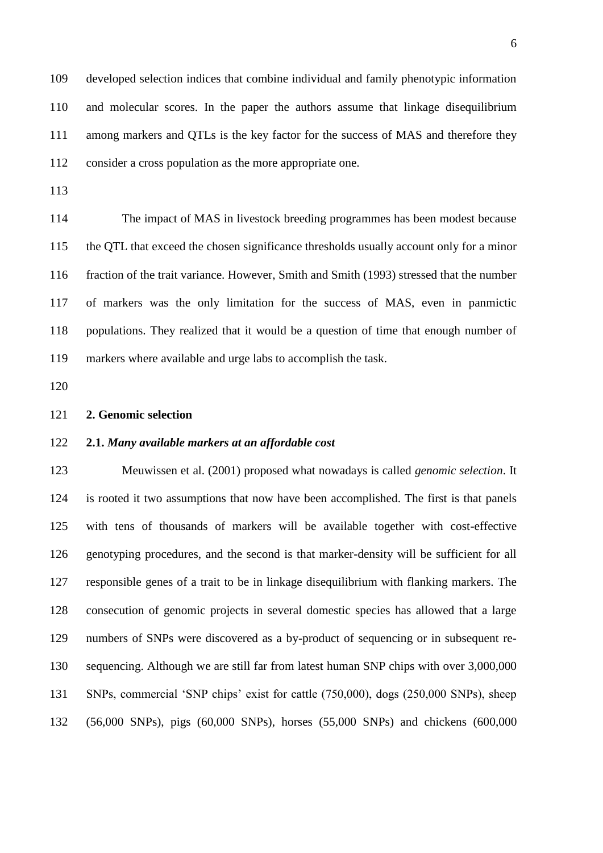developed selection indices that combine individual and family phenotypic information and molecular scores. In the paper the authors assume that linkage disequilibrium among markers and QTLs is the key factor for the success of MAS and therefore they consider a cross population as the more appropriate one.

 The impact of MAS in livestock breeding programmes has been modest because the QTL that exceed the chosen significance thresholds usually account only for a minor fraction of the trait variance. However, Smith and Smith (1993) stressed that the number of markers was the only limitation for the success of MAS, even in panmictic populations. They realized that it would be a question of time that enough number of markers where available and urge labs to accomplish the task.

### **2. Genomic selection**

#### **2.1.** *Many available markers at an affordable cost*

 Meuwissen et al. (2001) proposed what nowadays is called *genomic selection*. It is rooted it two assumptions that now have been accomplished. The first is that panels with tens of thousands of markers will be available together with cost-effective genotyping procedures, and the second is that marker-density will be sufficient for all responsible genes of a trait to be in linkage disequilibrium with flanking markers. The consecution of genomic projects in several domestic species has allowed that a large numbers of SNPs were discovered as a by-product of sequencing or in subsequent re- sequencing. Although we are still far from latest human SNP chips with over 3,000,000 SNPs, commercial 'SNP chips' exist for cattle (750,000), dogs (250,000 SNPs), sheep (56,000 SNPs), pigs (60,000 SNPs), horses (55,000 SNPs) and chickens (600,000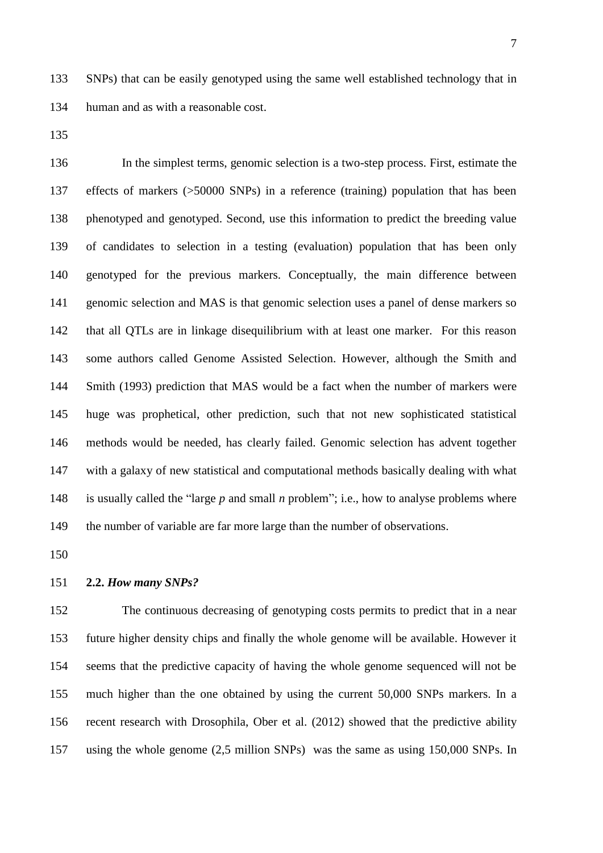SNPs) that can be easily genotyped using the same well established technology that in human and as with a reasonable cost.

 In the simplest terms, genomic selection is a two-step process. First, estimate the effects of markers (>50000 SNPs) in a reference (training) population that has been phenotyped and genotyped. Second, use this information to predict the breeding value of candidates to selection in a testing (evaluation) population that has been only genotyped for the previous markers. Conceptually, the main difference between genomic selection and MAS is that genomic selection uses a panel of dense markers so that all QTLs are in linkage disequilibrium with at least one marker. For this reason some authors called Genome Assisted Selection. However, although the Smith and Smith (1993) prediction that MAS would be a fact when the number of markers were huge was prophetical, other prediction, such that not new sophisticated statistical methods would be needed, has clearly failed. Genomic selection has advent together with a galaxy of new statistical and computational methods basically dealing with what is usually called the "large *p* and small *n* problem"; i.e., how to analyse problems where the number of variable are far more large than the number of observations.

### **2.2.** *How many SNPs?*

 The continuous decreasing of genotyping costs permits to predict that in a near future higher density chips and finally the whole genome will be available. However it seems that the predictive capacity of having the whole genome sequenced will not be much higher than the one obtained by using the current 50,000 SNPs markers. In a recent research with Drosophila, Ober et al. (2012) showed that the predictive ability using the whole genome (2,5 million SNPs) was the same as using 150,000 SNPs. In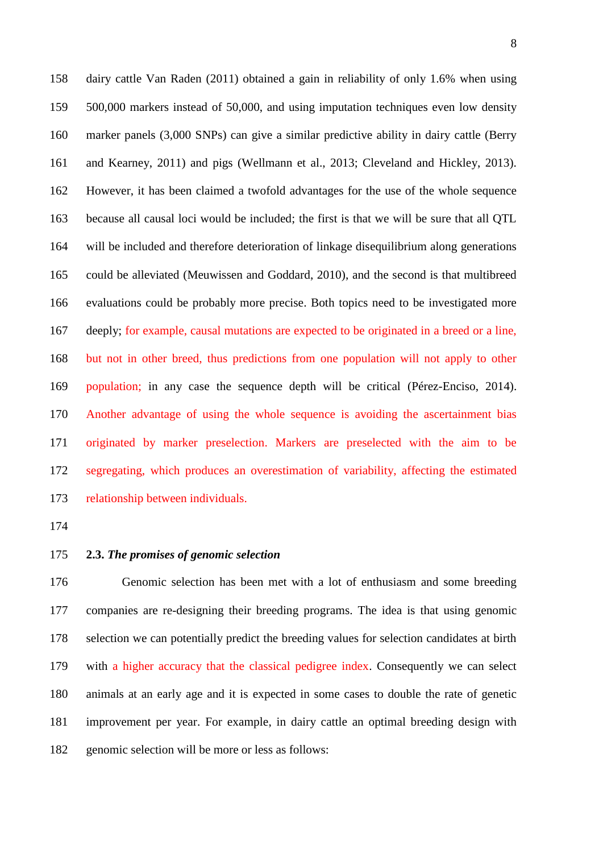dairy cattle Van Raden (2011) obtained a gain in reliability of only 1.6% when using 500,000 markers instead of 50,000, and using imputation techniques even low density marker panels (3,000 SNPs) can give a similar predictive ability in dairy cattle (Berry and Kearney, 2011) and pigs (Wellmann et al., 2013; Cleveland and Hickley, 2013). However, it has been claimed a twofold advantages for the use of the whole sequence because all causal loci would be included; the first is that we will be sure that all QTL will be included and therefore deterioration of linkage disequilibrium along generations could be alleviated (Meuwissen and Goddard, 2010), and the second is that multibreed evaluations could be probably more precise. Both topics need to be investigated more deeply; for example, causal mutations are expected to be originated in a breed or a line, but not in other breed, thus predictions from one population will not apply to other population; in any case the sequence depth will be critical (Pérez-Enciso, 2014). Another advantage of using the whole sequence is avoiding the ascertainment bias originated by marker preselection. Markers are preselected with the aim to be segregating, which produces an overestimation of variability, affecting the estimated relationship between individuals.

- 
- 

# **2.3.** *The promises of genomic selection*

 Genomic selection has been met with a lot of enthusiasm and some breeding companies are re-designing their breeding programs. The idea is that using genomic selection we can potentially predict the breeding values for selection candidates at birth with a higher accuracy that the classical pedigree index. Consequently we can select animals at an early age and it is expected in some cases to double the rate of genetic improvement per year. For example, in dairy cattle an optimal breeding design with genomic selection will be more or less as follows: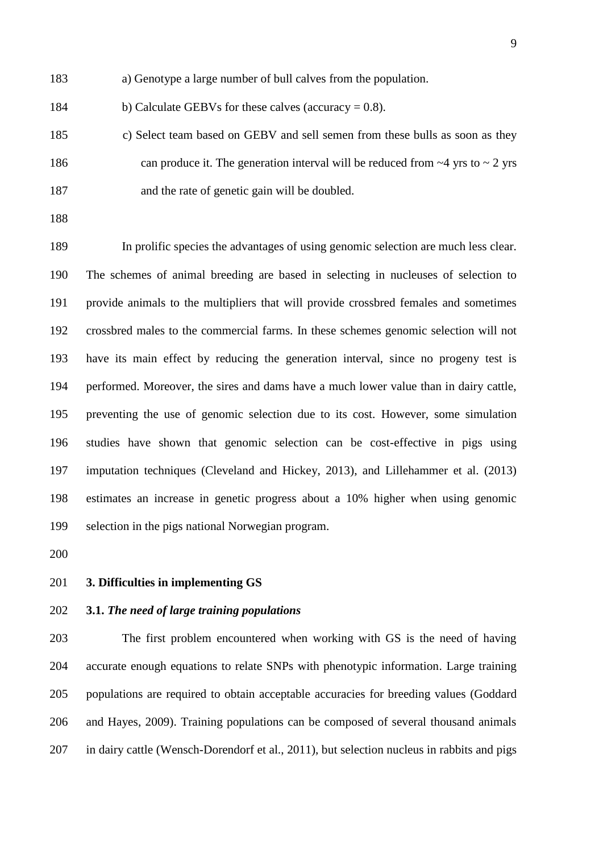- a) Genotype a large number of bull calves from the population.
- 184 b) Calculate GEBVs for these calves (accuracy  $= 0.8$ ).
- c) Select team based on GEBV and sell semen from these bulls as soon as they 186 can produce it. The generation interval will be reduced from  $\sim$ 4 yrs to  $\sim$  2 yrs and the rate of genetic gain will be doubled.
- 

 In prolific species the advantages of using genomic selection are much less clear. The schemes of animal breeding are based in selecting in nucleuses of selection to provide animals to the multipliers that will provide crossbred females and sometimes crossbred males to the commercial farms. In these schemes genomic selection will not have its main effect by reducing the generation interval, since no progeny test is performed. Moreover, the sires and dams have a much lower value than in dairy cattle, preventing the use of genomic selection due to its cost. However, some simulation studies have shown that genomic selection can be cost-effective in pigs using imputation techniques (Cleveland and Hickey, 2013), and Lillehammer et al. (2013) estimates an increase in genetic progress about a 10% higher when using genomic selection in the pigs national Norwegian program.

**3. Difficulties in implementing GS**

## **3.1.** *The need of large training populations*

 The first problem encountered when working with GS is the need of having accurate enough equations to relate SNPs with phenotypic information. Large training populations are required to obtain acceptable accuracies for breeding values (Goddard and Hayes, 2009). Training populations can be composed of several thousand animals in dairy cattle (Wensch-Dorendorf et al., 2011), but selection nucleus in rabbits and pigs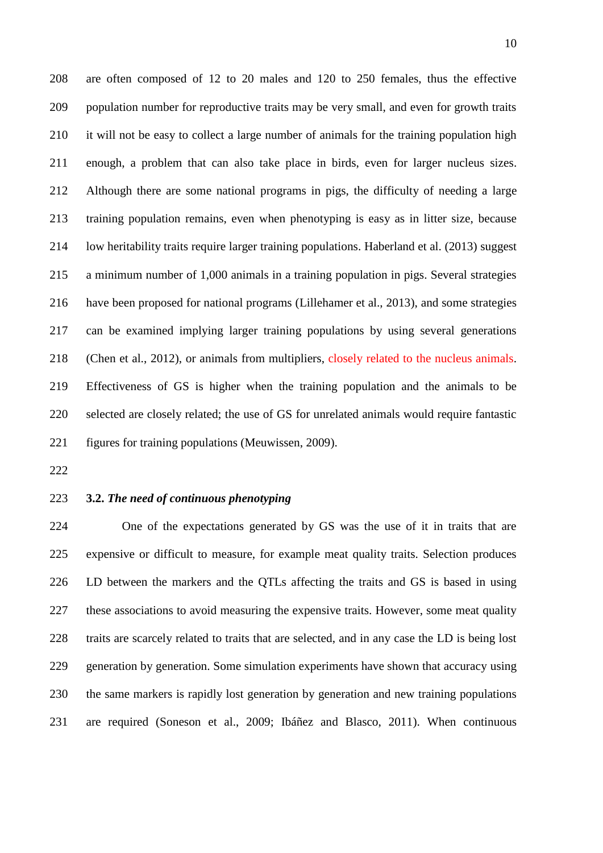are often composed of 12 to 20 males and 120 to 250 females, thus the effective population number for reproductive traits may be very small, and even for growth traits it will not be easy to collect a large number of animals for the training population high enough, a problem that can also take place in birds, even for larger nucleus sizes. Although there are some national programs in pigs, the difficulty of needing a large training population remains, even when phenotyping is easy as in litter size, because low heritability traits require larger training populations. Haberland et al. (2013) suggest a minimum number of 1,000 animals in a training population in pigs. Several strategies have been proposed for national programs (Lillehamer et al., 2013), and some strategies can be examined implying larger training populations by using several generations 218 (Chen et al., 2012), or animals from multipliers, closely related to the nucleus animals. Effectiveness of GS is higher when the training population and the animals to be selected are closely related; the use of GS for unrelated animals would require fantastic figures for training populations (Meuwissen, 2009).

# **3.2.** *The need of continuous phenotyping*

 One of the expectations generated by GS was the use of it in traits that are expensive or difficult to measure, for example meat quality traits. Selection produces LD between the markers and the QTLs affecting the traits and GS is based in using these associations to avoid measuring the expensive traits. However, some meat quality traits are scarcely related to traits that are selected, and in any case the LD is being lost generation by generation. Some simulation experiments have shown that accuracy using the same markers is rapidly lost generation by generation and new training populations are required (Soneson et al., 2009; Ibáñez and Blasco, 2011). When continuous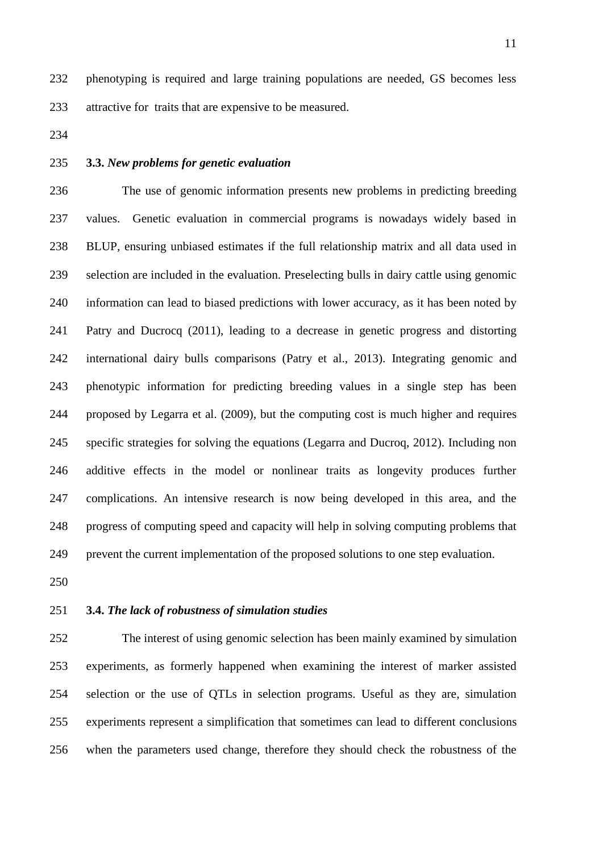phenotyping is required and large training populations are needed, GS becomes less attractive for traits that are expensive to be measured.

- 
- 

# **3.3.** *New problems for genetic evaluation*

 The use of genomic information presents new problems in predicting breeding values. Genetic evaluation in commercial programs is nowadays widely based in BLUP, ensuring unbiased estimates if the full relationship matrix and all data used in selection are included in the evaluation. Preselecting bulls in dairy cattle using genomic information can lead to biased predictions with lower accuracy, as it has been noted by Patry and Ducrocq (2011), leading to a decrease in genetic progress and distorting international dairy bulls comparisons (Patry et al., 2013). Integrating genomic and phenotypic information for predicting breeding values in a single step has been proposed by Legarra et al. (2009), but the computing cost is much higher and requires specific strategies for solving the equations (Legarra and Ducroq, 2012). Including non additive effects in the model or nonlinear traits as longevity produces further complications. An intensive research is now being developed in this area, and the progress of computing speed and capacity will help in solving computing problems that prevent the current implementation of the proposed solutions to one step evaluation.

## **3.4.** *The lack of robustness of simulation studies*

 The interest of using genomic selection has been mainly examined by simulation experiments, as formerly happened when examining the interest of marker assisted selection or the use of QTLs in selection programs. Useful as they are, simulation experiments represent a simplification that sometimes can lead to different conclusions when the parameters used change, therefore they should check the robustness of the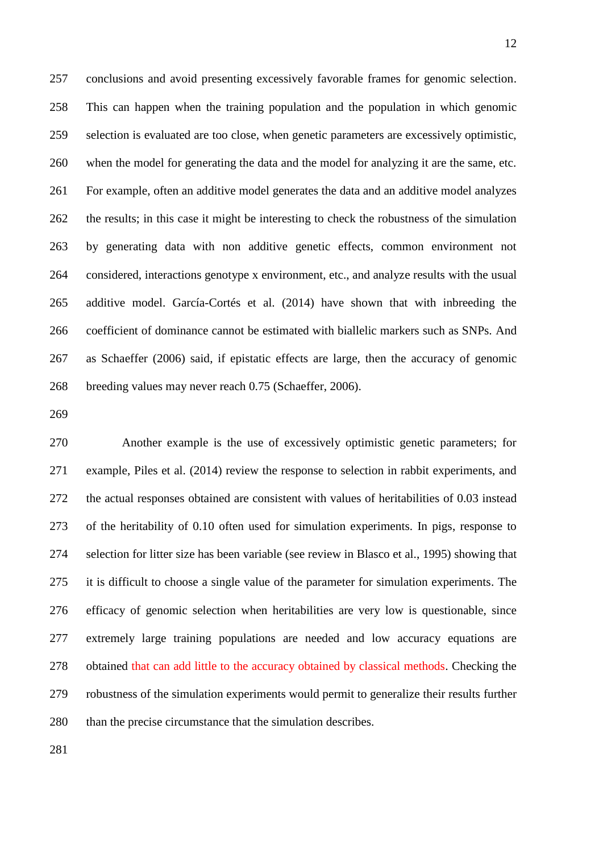conclusions and avoid presenting excessively favorable frames for genomic selection. This can happen when the training population and the population in which genomic selection is evaluated are too close, when genetic parameters are excessively optimistic, when the model for generating the data and the model for analyzing it are the same, etc. For example, often an additive model generates the data and an additive model analyzes 262 the results; in this case it might be interesting to check the robustness of the simulation by generating data with non additive genetic effects, common environment not considered, interactions genotype x environment, etc., and analyze results with the usual additive model. García-Cortés et al. (2014) have shown that with inbreeding the coefficient of dominance cannot be estimated with biallelic markers such as SNPs. And as Schaeffer (2006) said, if epistatic effects are large, then the accuracy of genomic breeding values may never reach 0.75 (Schaeffer, 2006).

 Another example is the use of excessively optimistic genetic parameters; for example, Piles et al. (2014) review the response to selection in rabbit experiments, and the actual responses obtained are consistent with values of heritabilities of 0.03 instead of the heritability of 0.10 often used for simulation experiments. In pigs, response to selection for litter size has been variable (see review in Blasco et al., 1995) showing that it is difficult to choose a single value of the parameter for simulation experiments. The efficacy of genomic selection when heritabilities are very low is questionable, since extremely large training populations are needed and low accuracy equations are obtained that can add little to the accuracy obtained by classical methods. Checking the robustness of the simulation experiments would permit to generalize their results further than the precise circumstance that the simulation describes.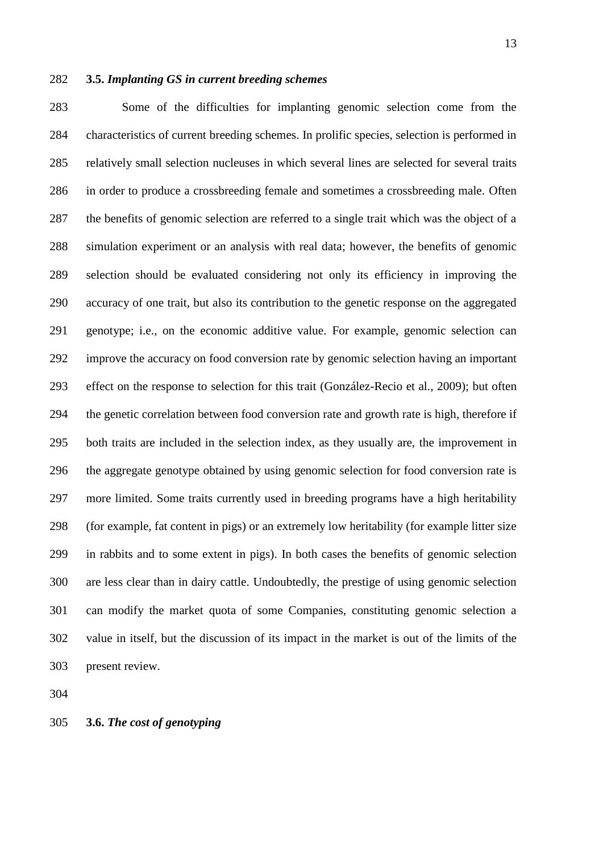### **3.5.** *Implanting GS in current breeding schemes*

 Some of the difficulties for implanting genomic selection come from the characteristics of current breeding schemes. In prolific species, selection is performed in relatively small selection nucleuses in which several lines are selected for several traits in order to produce a crossbreeding female and sometimes a crossbreeding male. Often 287 the benefits of genomic selection are referred to a single trait which was the object of a simulation experiment or an analysis with real data; however, the benefits of genomic selection should be evaluated considering not only its efficiency in improving the accuracy of one trait, but also its contribution to the genetic response on the aggregated genotype; i.e., on the economic additive value. For example, genomic selection can improve the accuracy on food conversion rate by genomic selection having an important effect on the response to selection for this trait (González-Recio et al., 2009); but often the genetic correlation between food conversion rate and growth rate is high, therefore if both traits are included in the selection index, as they usually are, the improvement in the aggregate genotype obtained by using genomic selection for food conversion rate is more limited. Some traits currently used in breeding programs have a high heritability (for example, fat content in pigs) or an extremely low heritability (for example litter size in rabbits and to some extent in pigs). In both cases the benefits of genomic selection are less clear than in dairy cattle. Undoubtedly, the prestige of using genomic selection can modify the market quota of some Companies, constituting genomic selection a value in itself, but the discussion of its impact in the market is out of the limits of the present review.

**3.6.** *The cost of genotyping*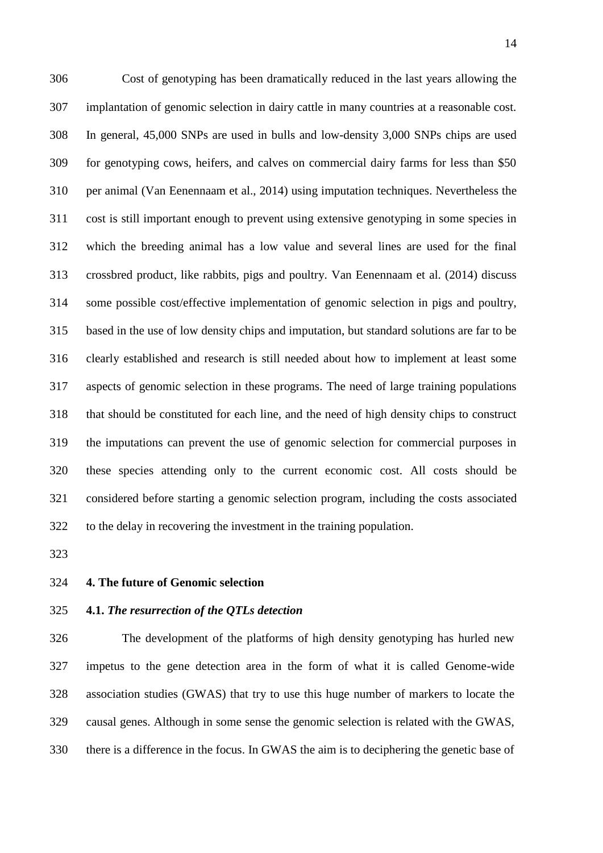Cost of genotyping has been dramatically reduced in the last years allowing the implantation of genomic selection in dairy cattle in many countries at a reasonable cost. In general, 45,000 SNPs are used in bulls and low-density 3,000 SNPs chips are used for genotyping cows, heifers, and calves on commercial dairy farms for less than \$50 per animal (Van Eenennaam et al., 2014) using imputation techniques. Nevertheless the cost is still important enough to prevent using extensive genotyping in some species in which the breeding animal has a low value and several lines are used for the final crossbred product, like rabbits, pigs and poultry. Van Eenennaam et al. (2014) discuss some possible cost/effective implementation of genomic selection in pigs and poultry, based in the use of low density chips and imputation, but standard solutions are far to be clearly established and research is still needed about how to implement at least some aspects of genomic selection in these programs. The need of large training populations that should be constituted for each line, and the need of high density chips to construct the imputations can prevent the use of genomic selection for commercial purposes in these species attending only to the current economic cost. All costs should be considered before starting a genomic selection program, including the costs associated to the delay in recovering the investment in the training population.

**4. The future of Genomic selection**

## **4.1.** *The resurrection of the QTLs detection*

 The development of the platforms of high density genotyping has hurled new impetus to the gene detection area in the form of what it is called Genome-wide association studies (GWAS) that try to use this huge number of markers to locate the causal genes. Although in some sense the genomic selection is related with the GWAS, there is a difference in the focus. In GWAS the aim is to deciphering the genetic base of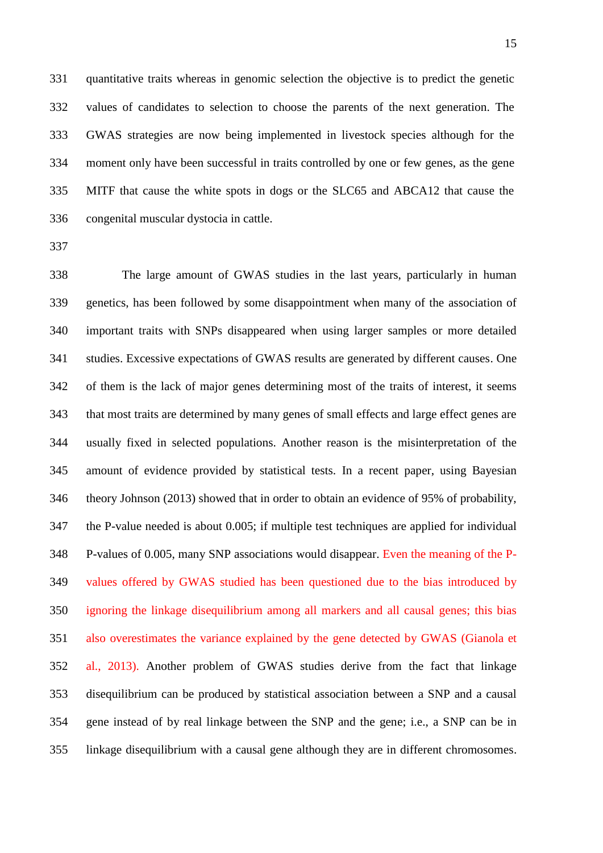quantitative traits whereas in genomic selection the objective is to predict the genetic values of candidates to selection to choose the parents of the next generation. The GWAS strategies are now being implemented in livestock species although for the moment only have been successful in traits controlled by one or few genes, as the gene MITF that cause the white spots in dogs or the SLC65 and ABCA12 that cause the congenital muscular dystocia in cattle.

 The large amount of GWAS studies in the last years, particularly in human genetics, has been followed by some disappointment when many of the association of important traits with SNPs disappeared when using larger samples or more detailed studies. Excessive expectations of GWAS results are generated by different causes. One of them is the lack of major genes determining most of the traits of interest, it seems that most traits are determined by many genes of small effects and large effect genes are usually fixed in selected populations. Another reason is the misinterpretation of the amount of evidence provided by statistical tests. In a recent paper, using Bayesian theory Johnson (2013) showed that in order to obtain an evidence of 95% of probability, the P-value needed is about 0.005; if multiple test techniques are applied for individual P-values of 0.005, many SNP associations would disappear. Even the meaning of the P- values offered by GWAS studied has been questioned due to the bias introduced by ignoring the linkage disequilibrium among all markers and all causal genes; this bias also overestimates the variance explained by the gene detected by GWAS (Gianola et al., 2013). Another problem of GWAS studies derive from the fact that linkage disequilibrium can be produced by statistical association between a SNP and a causal gene instead of by real linkage between the SNP and the gene; i.e., a SNP can be in linkage disequilibrium with a causal gene although they are in different chromosomes.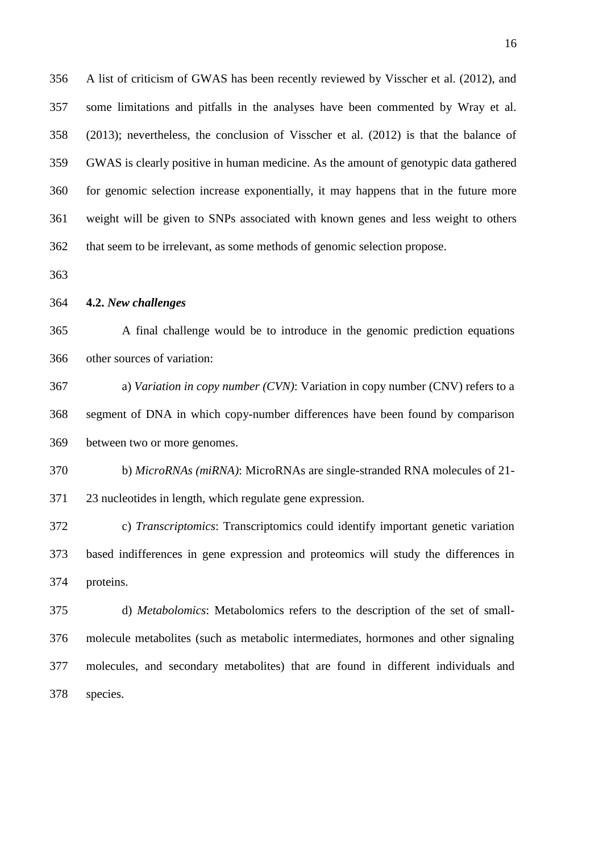A list of criticism of GWAS has been recently reviewed by Visscher et al. (2012), and some limitations and pitfalls in the analyses have been commented by Wray et al. (2013); nevertheless, the conclusion of Visscher et al. (2012) is that the balance of GWAS is clearly positive in human medicine. As the amount of genotypic data gathered for genomic selection increase exponentially, it may happens that in the future more weight will be given to SNPs associated with known genes and less weight to others that seem to be irrelevant, as some methods of genomic selection propose.

#### **4.2.** *New challenges*

 A final challenge would be to introduce in the genomic prediction equations other sources of variation:

 a) *Variation in copy number (CVN)*: Variation in copy number (CNV) refers to a segment of DNA in which copy-number differences have been found by comparison between two or more genomes.

 b) *MicroRNAs (miRNA)*: MicroRNAs are single-stranded RNA molecules of 21- 23 nucleotides in length, which regulate gene expression.

 c) *Transcriptomics*: Transcriptomics could identify important genetic variation based indifferences in gene expression and proteomics will study the differences in proteins.

 d) *Metabolomics*: Metabolomics refers to the description of the set of small- molecule metabolites (such as metabolic intermediates, hormones and other signaling molecules, and secondary metabolites) that are found in different individuals and species.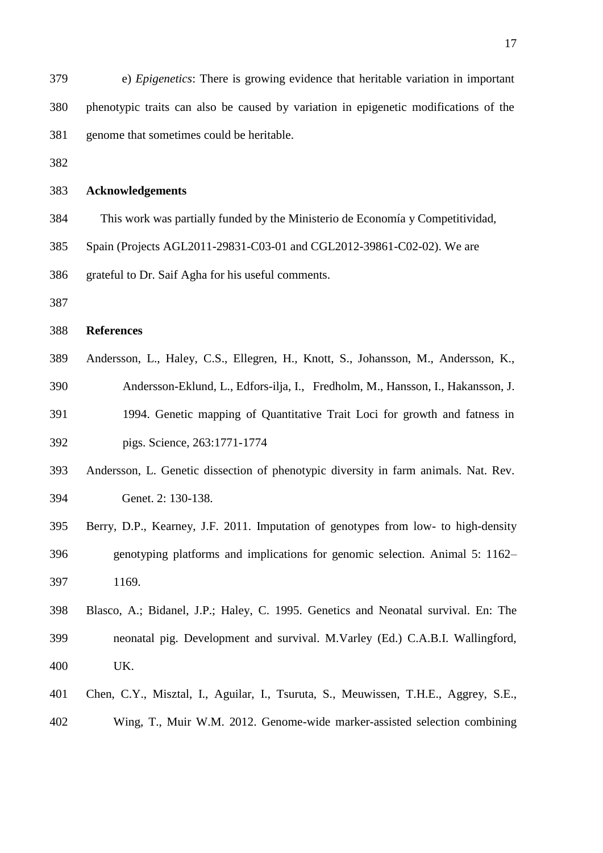| 379 | e) <i>Epigenetics</i> : There is growing evidence that heritable variation in important |
|-----|-----------------------------------------------------------------------------------------|
| 380 | phenotypic traits can also be caused by variation in epigenetic modifications of the    |
| 381 | genome that sometimes could be heritable.                                               |
| 382 |                                                                                         |
| 383 | <b>Acknowledgements</b>                                                                 |
| 384 | This work was partially funded by the Ministerio de Economía y Competitividad,          |
| 385 | Spain (Projects AGL2011-29831-C03-01 and CGL2012-39861-C02-02). We are                  |
| 386 | grateful to Dr. Saif Agha for his useful comments.                                      |
| 387 |                                                                                         |
| 388 | <b>References</b>                                                                       |
| 389 | Andersson, L., Haley, C.S., Ellegren, H., Knott, S., Johansson, M., Andersson, K.,      |
| 390 | Andersson-Eklund, L., Edfors-ilja, I., Fredholm, M., Hansson, I., Hakansson, J.         |
| 391 | 1994. Genetic mapping of Quantitative Trait Loci for growth and fatness in              |
| 392 | pigs. Science, 263:1771-1774                                                            |
| 393 | Andersson, L. Genetic dissection of phenotypic diversity in farm animals. Nat. Rev.     |
| 394 | Genet. 2: 130-138.                                                                      |
| 395 | Berry, D.P., Kearney, J.F. 2011. Imputation of genotypes from low- to high-density      |
| 396 | genotyping platforms and implications for genomic selection. Animal 5: 1162–            |
| 397 | 1169.                                                                                   |
| 398 | Blasco, A.; Bidanel, J.P.; Haley, C. 1995. Genetics and Neonatal survival. En: The      |
| 399 | neonatal pig. Development and survival. M.Varley (Ed.) C.A.B.I. Wallingford,            |
| 400 | UK.                                                                                     |
| 401 | Chen, C.Y., Misztal, I., Aguilar, I., Tsuruta, S., Meuwissen, T.H.E., Aggrey, S.E.,     |
| 402 | Wing, T., Muir W.M. 2012. Genome-wide marker-assisted selection combining               |
|     |                                                                                         |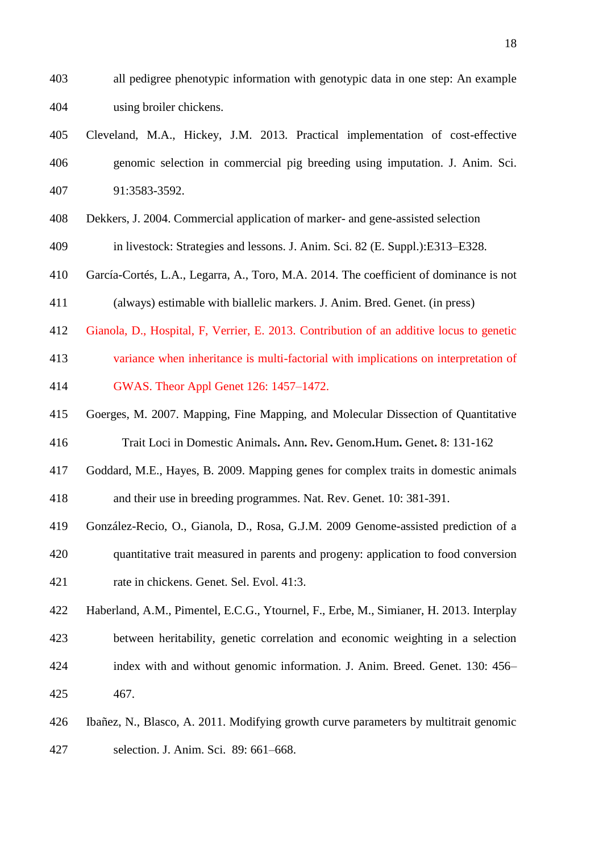- all pedigree phenotypic information with genotypic data in one step: An example using broiler chickens.
- Cleveland, M.A., Hickey, J.M. 2013. Practical implementation of cost-effective genomic selection in commercial pig breeding using imputation. J. Anim. Sci. 91:3583-3592.
- Dekkers, J. 2004. Commercial application of marker- and gene-assisted selection
- in livestock: Strategies and lessons. J. Anim. Sci. 82 (E. Suppl.):E313–E328.
- García-Cortés, L.A., Legarra, A., Toro, M.A. 2014. The coefficient of dominance is not (always) estimable with biallelic markers. J. Anim. Bred. Genet. (in press)
- Gianola, D., Hospital, F, Verrier, E. 2013. Contribution of an additive locus to genetic
- variance when inheritance is multi-factorial with implications on interpretation of GWAS. Theor Appl Genet 126: 1457–1472.
- Goerges, M. 2007. Mapping, Fine Mapping, and Molecular Dissection of Quantitative
- Trait Loci in Domestic Animals**.** Ann**.** Rev**.** Genom**.**Hum**.** Genet**.** 8: 131-162
- Goddard, M.E., Hayes, B. 2009. Mapping genes for complex traits in domestic animals and their use in breeding programmes. Nat. Rev. Genet. 10: 381-391.
- 
- González-Recio, O., Gianola, D., Rosa, G.J.M. 2009 Genome-assisted prediction of a quantitative trait measured in parents and progeny: application to food conversion rate in chickens. Genet. Sel. Evol. 41:3.
- Haberland, A.M., Pimentel, E.C.G., Ytournel, F., Erbe, M., Simianer, H. 2013. Interplay between heritability, genetic correlation and economic weighting in a selection index with and without genomic information. J. Anim. Breed. Genet. 130: 456– 467.
- Ibañez, N., Blasco, A. 2011. Modifying growth curve parameters by multitrait genomic selection. J. Anim. Sci. 89: 661–668.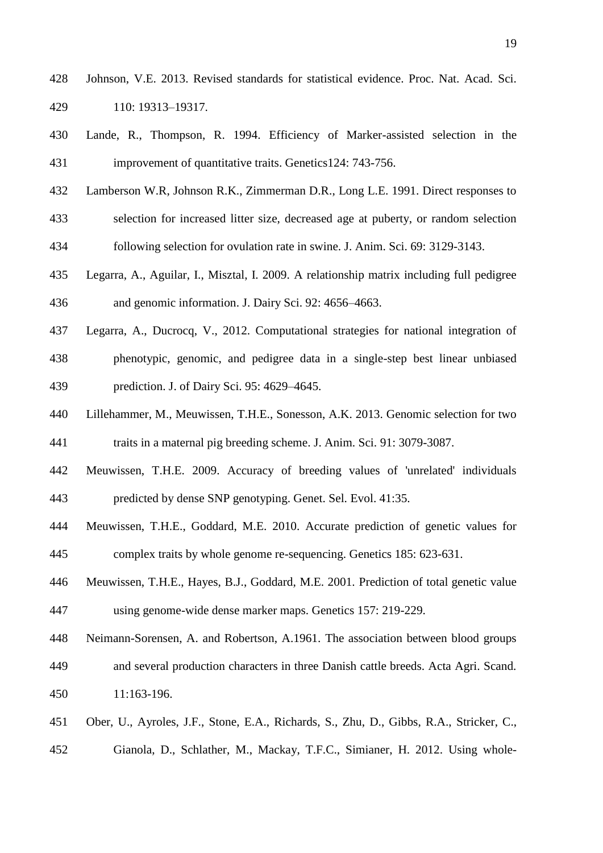- Johnson, V.E. 2013. Revised standards for statistical evidence. Proc. Nat. Acad. Sci. 110: 19313–19317.
- Lande, R., Thompson, R. 1994. Efficiency of Marker-assisted selection in the improvement of quantitative traits. Genetics124: 743-756.
- Lamberson W.R, Johnson R.K., Zimmerman D.R., Long L.E. 1991. Direct responses to
- selection for increased litter size, decreased age at puberty, or random selection following selection for ovulation rate in swine. J. Anim. Sci. 69: 3129-3143.
- Legarra, A., Aguilar, I., Misztal, I. 2009. A relationship matrix including full pedigree and genomic information. J. Dairy Sci. 92: 4656–4663.
- Legarra, A., Ducrocq, V., 2012. Computational strategies for national integration of phenotypic, genomic, and pedigree data in a single-step best linear unbiased prediction. J. of Dairy Sci. 95: 4629–4645.
- Lillehammer, M., Meuwissen, T.H.E., Sonesson, A.K. 2013. Genomic selection for two traits in a maternal pig breeding scheme. J. Anim. Sci. 91: 3079-3087.
- Meuwissen, T.H.E. 2009. Accuracy of breeding values of 'unrelated' individuals predicted by dense SNP genotyping. Genet. Sel. Evol. 41:35.
- Meuwissen, T.H.E., Goddard, M.E. 2010. Accurate prediction of genetic values for complex traits by whole genome re-sequencing. Genetics 185: 623-631.
- Meuwissen, T.H.E., Hayes, B.J., Goddard, M.E. 2001. Prediction of total genetic value using genome-wide dense marker maps. Genetics 157: 219-229.
- Neimann-Sorensen, A. and Robertson, A.1961. The association between blood groups and several production characters in three Danish cattle breeds. Acta Agri. Scand. 11:163-196.
- Ober, U., Ayroles, J.F., Stone, E.A., Richards, S., Zhu, D., Gibbs, R.A., Stricker, C., Gianola, D., Schlather, M., Mackay, T.F.C., Simianer, H. 2012. Using whole-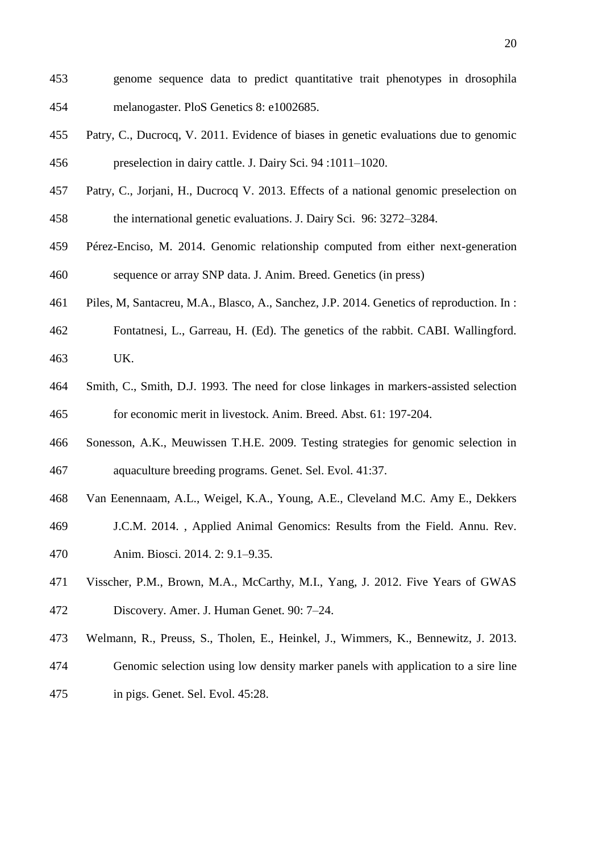- genome sequence data to predict quantitative trait phenotypes in drosophila melanogaster. PloS Genetics 8: e1002685.
- Patry, C., Ducrocq, V. 2011. Evidence of biases in genetic evaluations due to genomic preselection in dairy cattle. J. Dairy Sci. 94 :1011–1020.
- Patry, C., Jorjani, H., Ducrocq V. 2013. Effects of a national genomic preselection on the international genetic evaluations. J. Dairy Sci. 96: 3272–3284.
- Pérez-Enciso, M. 2014. Genomic relationship computed from either next-generation sequence or array SNP data. J. Anim. Breed. Genetics (in press)
- Piles, M, Santacreu, M.A., Blasco, A., Sanchez, J.P. 2014. Genetics of reproduction. In :
- Fontatnesi, L., Garreau, H. (Ed). The genetics of the rabbit. CABI. Wallingford. UK.
- Smith, C., Smith, D.J. 1993. The need for close linkages in markers-assisted selection for economic merit in livestock. Anim. Breed. Abst. 61: 197-204.
- Sonesson, A.K., Meuwissen T.H.E. 2009. Testing strategies for genomic selection in aquaculture breeding programs. Genet. Sel. Evol. 41:37.
- Van Eenennaam, A.L., Weigel, K.A., Young, A.E., Cleveland M.C. Amy E., Dekkers
- J.C.M. 2014. , Applied Animal Genomics: Results from the Field. Annu. Rev.
- Anim. Biosci. 2014. 2: 9.1–9.35.
- Visscher, P.M., Brown, M.A., McCarthy, M.I., Yang, J. 2012. Five Years of GWAS Discovery. Amer. J. Human Genet. 90: 7–24.
- Welmann, R., Preuss, S., Tholen, E., Heinkel, J., Wimmers, K., Bennewitz, J. 2013.
- Genomic selection using low density marker panels with application to a sire line
- in pigs. Genet. Sel. Evol. 45:28.